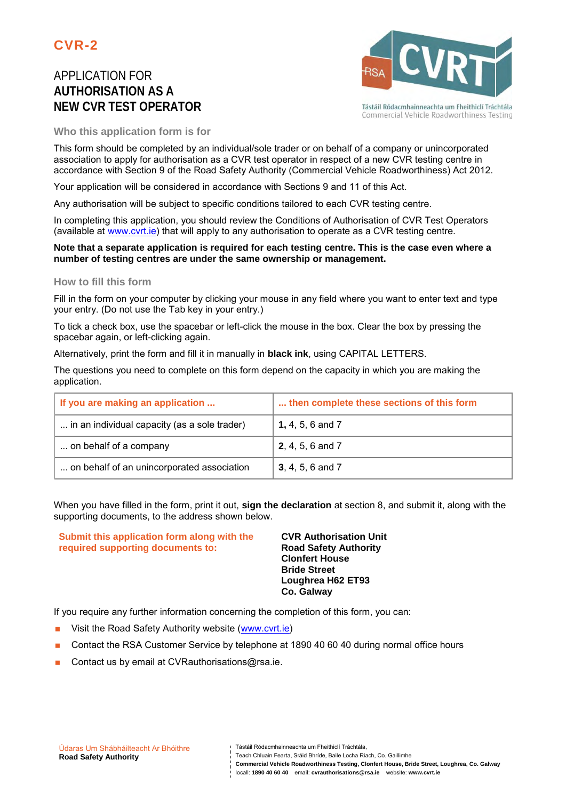# APPLICATION FOR **AUTHORISATION AS A NEW CVR TEST OPERATOR**



Tástáil Ródacmhainneachta um Fheithiclí Tráchtála Commercial Vehicle Roadworthiness Testing

**Who this application form is for**

This form should be completed by an individual/sole trader or on behalf of a company or unincorporated association to apply for authorisation as a CVR test operator in respect of a new CVR testing centre in accordance with Section 9 of the Road Safety Authority (Commercial Vehicle Roadworthiness) Act 2012.

Your application will be considered in accordance with Sections 9 and 11 of this Act.

Any authorisation will be subject to specific conditions tailored to each CVR testing centre.

In completing this application, you should review the Conditions of Authorisation of CVR Test Operators (available at www.cvrt.ie) that will apply to any authorisation to operate as a CVR testing centre.

#### **Note that a separate application is required for each testing centre. This is the case even where a number of testing centres are under the same ownership or management.**

#### **How to fill this form**

Fill in the form on your computer by clicking your mouse in any field where you want to enter text and type your entry. (Do not use the Tab key in your entry.)

To tick a check box, use the spacebar or left-click the mouse in the box. Clear the box by pressing the spacebar again, or left-clicking again.

Alternatively, print the form and fill it in manually in **black ink**, using CAPITAL LETTERS.

The questions you need to complete on this form depend on the capacity in which you are making the application.

| If you are making an application             | then complete these sections of this form |
|----------------------------------------------|-------------------------------------------|
| in an individual capacity (as a sole trader) | <b>1, 4, 5, 6 and 7</b>                   |
| on behalf of a company                       | <b>2</b> , 4, 5, 6 and 7                  |
| on behalf of an unincorporated association   | <b>3</b> , 4, 5, 6 and 7                  |

When you have filled in the form, print it out, **sign the declaration** at section 8, and submit it, along with the supporting documents, to the address shown below.

**Submit this application form along with the required supporting documents to:**

**CVR Authorisation Unit Road Safety Authority Clonfert House Bride Street Loughrea H62 ET93 Co. Galway**

If you require any further information concerning the completion of this form, you can:

- **Nisit the Road Safety Authority website (www.cvrt.ie)**
- Contact the RSA Customer Service by telephone at 1890 40 60 40 during normal office hours
- Contact us by email at CVRauthorisations@rsa.ie.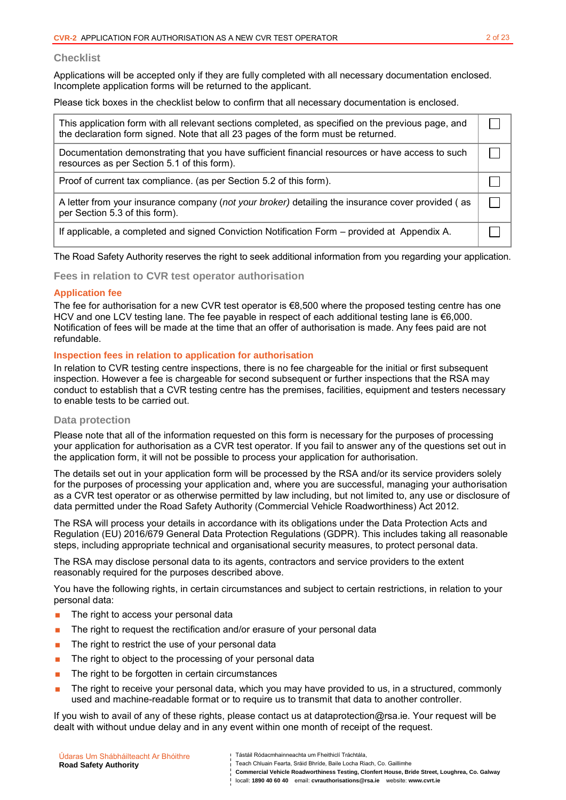#### **Checklist**

Applications will be accepted only if they are fully completed with all necessary documentation enclosed. Incomplete application forms will be returned to the applicant.

Please tick boxes in the checklist below to confirm that all necessary documentation is enclosed.

| This application form with all relevant sections completed, as specified on the previous page, and<br>the declaration form signed. Note that all 23 pages of the form must be returned. |  |
|-----------------------------------------------------------------------------------------------------------------------------------------------------------------------------------------|--|
| Documentation demonstrating that you have sufficient financial resources or have access to such<br>resources as per Section 5.1 of this form).                                          |  |
| Proof of current tax compliance. (as per Section 5.2 of this form).                                                                                                                     |  |
| A letter from your insurance company (not your broker) detailing the insurance cover provided (as<br>per Section 5.3 of this form).                                                     |  |
| If applicable, a completed and signed Conviction Notification Form – provided at Appendix A.                                                                                            |  |

The Road Safety Authority reserves the right to seek additional information from you regarding your application.

**Fees in relation to CVR test operator authorisation**

#### **Application fee**

The fee for authorisation for a new CVR test operator is €8,500 where the proposed testing centre has one HCV and one LCV testing lane. The fee payable in respect of each additional testing lane is €6,000. Notification of fees will be made at the time that an offer of authorisation is made. Any fees paid are not refundable.

#### **Inspection fees in relation to application for authorisation**

In relation to CVR testing centre inspections, there is no fee chargeable for the initial or first subsequent inspection. However a fee is chargeable for second subsequent or further inspections that the RSA may conduct to establish that a CVR testing centre has the premises, facilities, equipment and testers necessary to enable tests to be carried out.

### **Data protection**

Please note that all of the information requested on this form is necessary for the purposes of processing your application for authorisation as a CVR test operator. If you fail to answer any of the questions set out in the application form, it will not be possible to process your application for authorisation.

The details set out in your application form will be processed by the RSA and/or its service providers solely for the purposes of processing your application and, where you are successful, managing your authorisation as a CVR test operator or as otherwise permitted by law including, but not limited to, any use or disclosure of data permitted under the Road Safety Authority (Commercial Vehicle Roadworthiness) Act 2012.

The RSA will process your details in accordance with its obligations under the Data Protection Acts and Regulation (EU) 2016/679 General Data Protection Regulations (GDPR). This includes taking all reasonable steps, including appropriate technical and organisational security measures, to protect personal data.

The RSA may disclose personal data to its agents, contractors and service providers to the extent reasonably required for the purposes described above.

You have the following rights, in certain circumstances and subject to certain restrictions, in relation to your personal data:

- **The right to access your personal data**
- The right to request the rectification and/or erasure of your personal data
- The right to restrict the use of your personal data
- **The right to object to the processing of your personal data**
- $\blacksquare$  The right to be forgotten in certain circumstances
- **The right to receive your personal data, which you may have provided to us, in a structured, commonly** used and machine-readable format or to require us to transmit that data to another controller.

If you wish to avail of any of these rights, please contact us at dataprotection@rsa.ie. Your request will be dealt with without undue delay and in any event within one month of receipt of the request.

| Údaras Um Shábháilteacht Ar Bhóithre<br>Tástáil Ródacmhainneachta um Fheithiclí Tráchtála.<br>Teach Chluain Fearta, Sráid Bhríde, Baile Locha Riach, Co. Gaillimhe<br><b>Road Safety Authority</b><br>Commercial Vehicle Roadworthiness Testing, Clonfert House, Bride Street, Loughrea, Co. Galway |  |
|-----------------------------------------------------------------------------------------------------------------------------------------------------------------------------------------------------------------------------------------------------------------------------------------------------|--|
| locall: 1890 40 60 40 email: cyrauthorisations@rsa.ie website: www.cyrt.ie                                                                                                                                                                                                                          |  |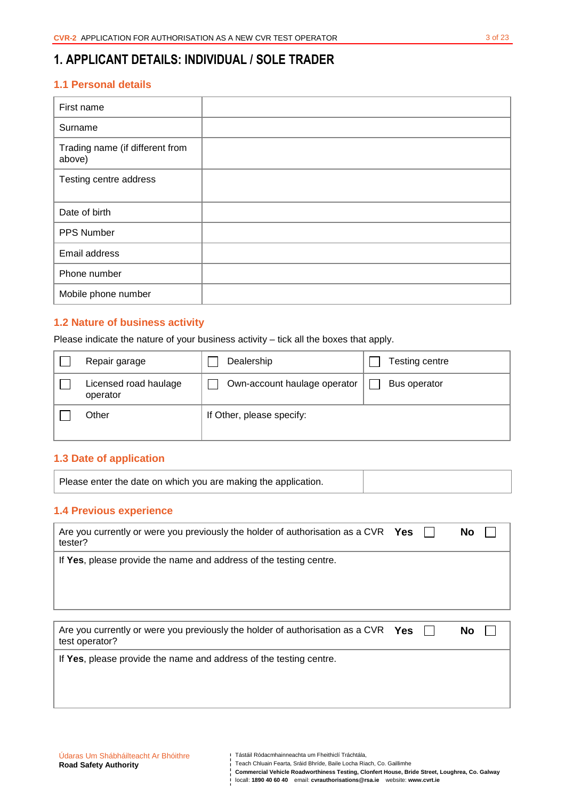# **1. APPLICANT DETAILS: INDIVIDUAL / SOLE TRADER**

## **1.1 Personal details**

| First name                                |  |
|-------------------------------------------|--|
| Surname                                   |  |
| Trading name (if different from<br>above) |  |
| Testing centre address                    |  |
|                                           |  |
| Date of birth                             |  |
| PPS Number                                |  |
| Email address                             |  |
| Phone number                              |  |
| Mobile phone number                       |  |

## **1.2 Nature of business activity**

Please indicate the nature of your business activity – tick all the boxes that apply.

| Repair garage                     | Dealership                   | Testing centre |
|-----------------------------------|------------------------------|----------------|
| Licensed road haulage<br>operator | Own-account haulage operator | Bus operator   |
| Other                             | If Other, please specify:    |                |

### **1.3 Date of application**

|--|

## **1.4 Previous experience**

| Are you currently or were you previously the holder of authorisation as a CVR $\gamma_{\rm e s}$<br>tester? |  | No        |  |
|-------------------------------------------------------------------------------------------------------------|--|-----------|--|
| If Yes, please provide the name and address of the testing centre.                                          |  |           |  |
|                                                                                                             |  |           |  |
|                                                                                                             |  |           |  |
| Are you currently or were you previously the holder of authorisation as a CVR $Yes$<br>test operator?       |  | <b>No</b> |  |

Tástáil Ródacmhainneachta um Fheithiclí Tráchtála,

**Commercial Vehicle Roadworthiness Testing, Clonfert House, Bride Street, Loughrea, Co. Galway**  locall: **1890 40 60 40** email: **cvrauthorisations@rsa.ie** website: **www.cvrt.ie**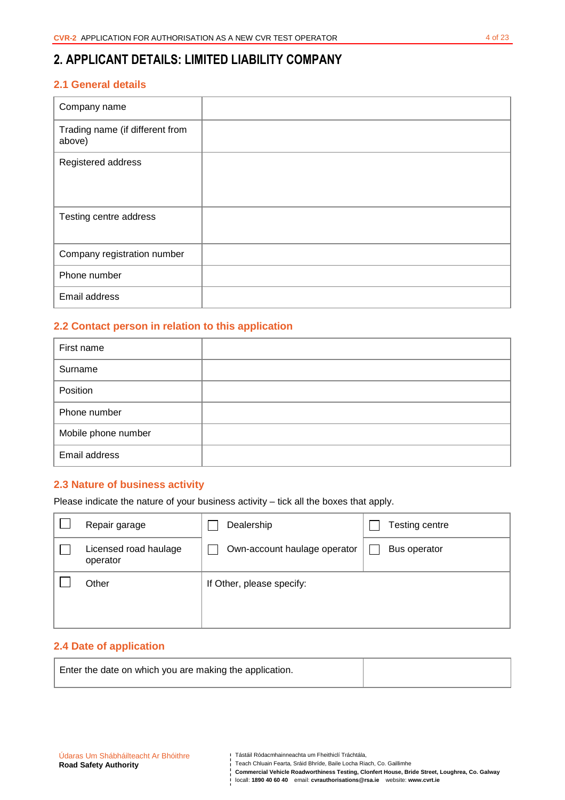# **2. APPLICANT DETAILS: LIMITED LIABILITY COMPANY**

## **2.1 General details**

| Company name                              |  |
|-------------------------------------------|--|
| Trading name (if different from<br>above) |  |
| Registered address                        |  |
| Testing centre address                    |  |
| Company registration number               |  |
| Phone number                              |  |
| Email address                             |  |

## **2.2 Contact person in relation to this application**

| First name          |  |
|---------------------|--|
| Surname             |  |
| Position            |  |
| Phone number        |  |
| Mobile phone number |  |
| Email address       |  |

## **2.3 Nature of business activity**

Please indicate the nature of your business activity – tick all the boxes that apply.

| Repair garage                     | Dealership                   | Testing centre |
|-----------------------------------|------------------------------|----------------|
| Licensed road haulage<br>operator | Own-account haulage operator | Bus operator   |
| Other                             | If Other, please specify:    |                |
|                                   |                              |                |
|                                   |                              |                |

## **2.4 Date of application**

| Enter the date on which you are making the application. |  |
|---------------------------------------------------------|--|
|                                                         |  |

- Teach Chluain Fearta, Sráid Bhríde, Baile Locha Riach, Co. Gaillimhe
- **Commercial Vehicle Roadworthiness Testing, Clonfert House, Bride Street, Loughrea, Co. Galway**  locall: **1890 40 60 40** email: **cvrauthorisations@rsa.ie** website: **www.cvrt.ie**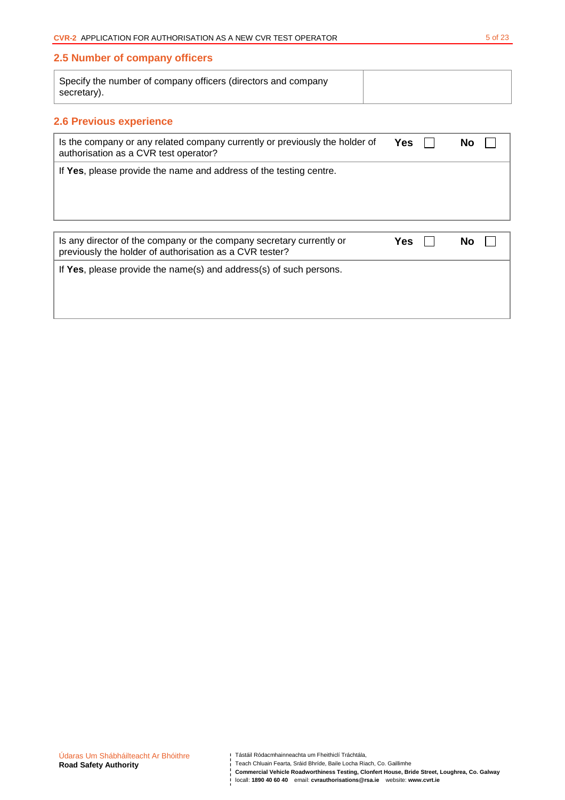## **2.5 Number of company officers**

| Specify the number of company officers (directors and company |  |
|---------------------------------------------------------------|--|
| secretary).                                                   |  |

# **2.6 Previous experience**

| Is the company or any related company currently or previously the holder of<br>authorisation as a CVR test operator?            | <b>Yes</b> | No |
|---------------------------------------------------------------------------------------------------------------------------------|------------|----|
| If Yes, please provide the name and address of the testing centre.                                                              |            |    |
| Is any director of the company or the company secretary currently or<br>previously the holder of authorisation as a CVR tester? | Yes        | Nο |
| If Yes, please provide the name(s) and address(s) of such persons.                                                              |            |    |

**Commercial Vehicle Roadworthiness Testing, Clonfert House, Bride Street, Loughrea, Co. Galway**  locall: **1890 40 60 40** email: **cvrauthorisations@rsa.ie** website: **www.cvrt.ie**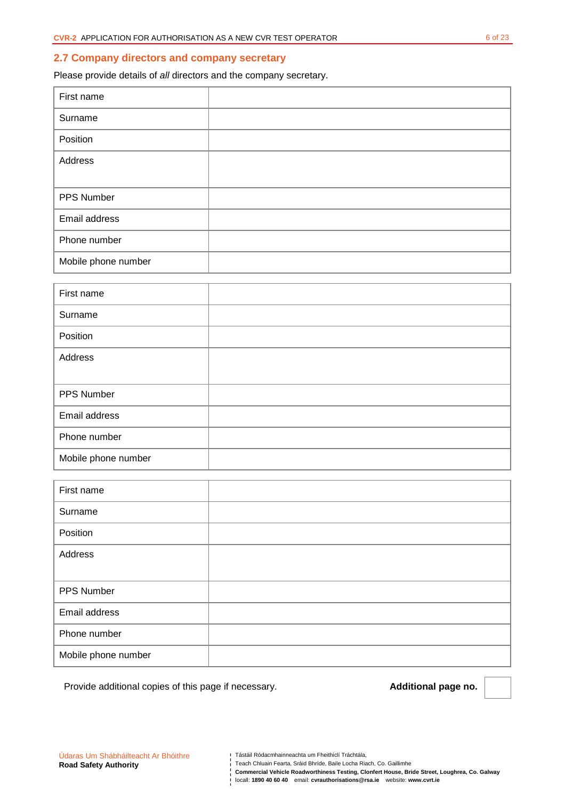#### **2.7 Company directors and company secretary**

Please provide details of all directors and the company secretary.

| First name          |  |
|---------------------|--|
| Surname             |  |
| Position            |  |
| Address             |  |
|                     |  |
| PPS Number          |  |
| Email address       |  |
| Phone number        |  |
| Mobile phone number |  |

| First name          |  |
|---------------------|--|
| Surname             |  |
| Position            |  |
| Address             |  |
|                     |  |
| PPS Number          |  |
| Email address       |  |
| Phone number        |  |
| Mobile phone number |  |

| First name          |  |
|---------------------|--|
| Surname             |  |
| Position            |  |
| Address             |  |
|                     |  |
| PPS Number          |  |
| Email address       |  |
| Phone number        |  |
| Mobile phone number |  |

Provide additional copies of this page if necessary. **Additional page no. Additional page no.** 

**Commercial Vehicle Roadworthiness Testing, Clonfert House, Bride Street, Loughrea, Co. Galway**  locall: **1890 40 60 40** email: **cvrauthorisations@rsa.ie** website: **www.cvrt.ie**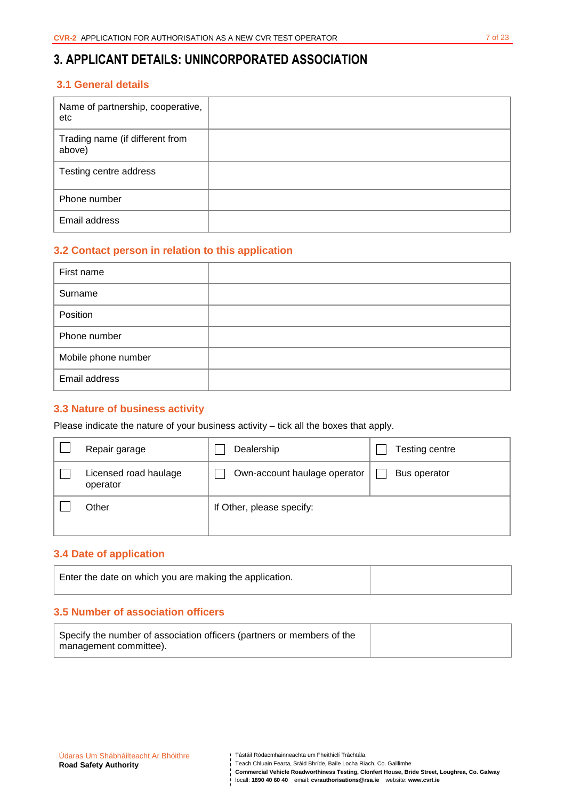# **3. APPLICANT DETAILS: UNINCORPORATED ASSOCIATION**

## **3.1 General details**

| Name of partnership, cooperative,<br>etc  |  |
|-------------------------------------------|--|
| Trading name (if different from<br>above) |  |
| Testing centre address                    |  |
| Phone number                              |  |
| Email address                             |  |

# **3.2 Contact person in relation to this application**

| First name          |  |
|---------------------|--|
| Surname             |  |
| Position            |  |
| Phone number        |  |
| Mobile phone number |  |
| Email address       |  |

### **3.3 Nature of business activity**

Please indicate the nature of your business activity – tick all the boxes that apply.

| Repair garage                     | Dealership                   | Testing centre |
|-----------------------------------|------------------------------|----------------|
| Licensed road haulage<br>operator | Own-account haulage operator | Bus operator   |
| Other                             | If Other, please specify:    |                |

## **3.4 Date of application**

| Enter the date on which you are making the application. |  |
|---------------------------------------------------------|--|
|                                                         |  |

## **3.5 Number of association officers**

| Specify the number of association officers (partners or members of the |  |
|------------------------------------------------------------------------|--|
| management committee).                                                 |  |

**Commercial Vehicle Roadworthiness Testing, Clonfert House, Bride Street, Loughrea, Co. Galway**  locall: **1890 40 60 40** email: **cvrauthorisations@rsa.ie** website: **www.cvrt.ie**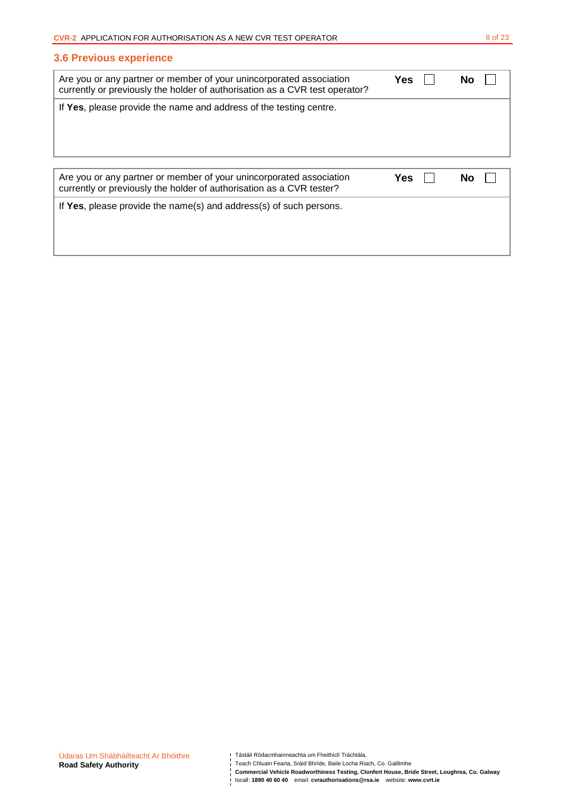1

## **3.6 Previous experience**

| Are you or any partner or member of your unincorporated association<br>currently or previously the holder of authorisation as a CVR test operator? | Yes | Nο |
|----------------------------------------------------------------------------------------------------------------------------------------------------|-----|----|
| If Yes, please provide the name and address of the testing centre.                                                                                 |     |    |
|                                                                                                                                                    |     |    |
|                                                                                                                                                    |     |    |
|                                                                                                                                                    |     |    |
| Are you or any partner or member of your unincorporated association<br>currently or previously the holder of authorisation as a CVR tester?        | Yes | Nο |
| If Yes, please provide the name(s) and address(s) of such persons.                                                                                 |     |    |
|                                                                                                                                                    |     |    |

**Commercial Vehicle Roadworthiness Testing, Clonfert House, Bride Street, Loughrea, Co. Galway**  locall: **1890 40 60 40** email: **cvrauthorisations@rsa.ie** website: **www.cvrt.ie**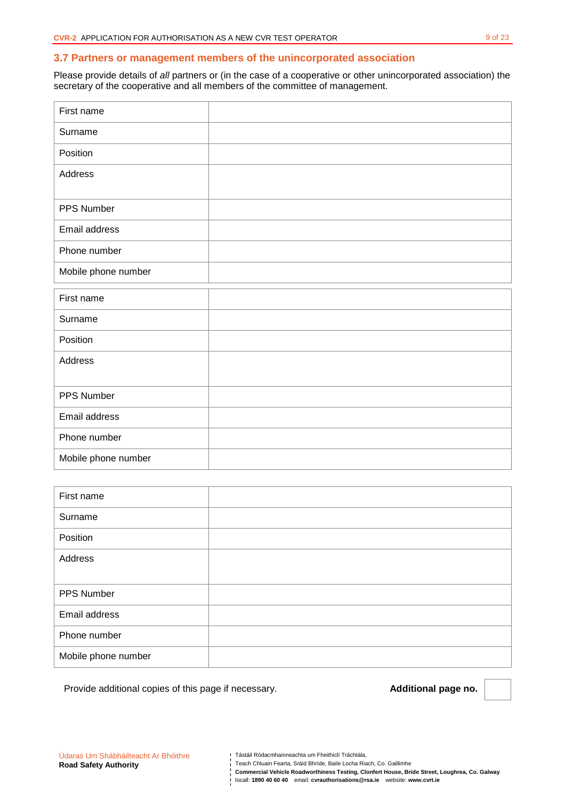#### **3.7 Partners or management members of the unincorporated association**

Please provide details of all partners or (in the case of a cooperative or other unincorporated association) the secretary of the cooperative and all members of the committee of management.

| First name          |  |
|---------------------|--|
| Surname             |  |
| Position            |  |
| Address             |  |
|                     |  |
| PPS Number          |  |
| Email address       |  |
| Phone number        |  |
| Mobile phone number |  |
|                     |  |
|                     |  |
| First name          |  |
| Surname             |  |
| Position            |  |
| Address             |  |
|                     |  |
| PPS Number          |  |
| Email address       |  |
| Phone number        |  |

| First name          |  |
|---------------------|--|
| Surname             |  |
| Position            |  |
| Address             |  |
|                     |  |
| PPS Number          |  |
| Email address       |  |
| Phone number        |  |
| Mobile phone number |  |

Provide additional copies of this page if necessary. **Additional page no. Additional page no.** 

Tástáil Ródacmhainneachta um Fheithiclí Tráchtála,

**Commercial Vehicle Roadworthiness Testing, Clonfert House, Bride Street, Loughrea, Co. Galway**  locall: **1890 40 60 40** email: **cvrauthorisations@rsa.ie** website: **www.cvrt.ie**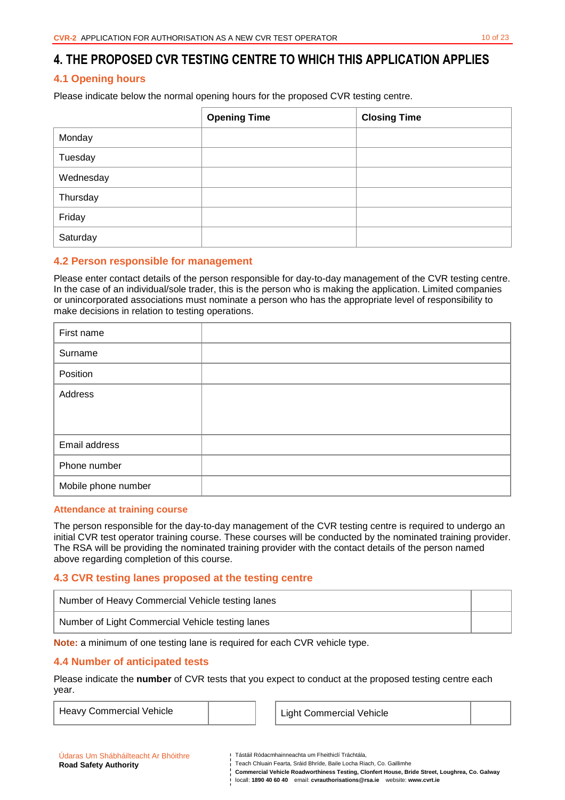# **4.1 Opening hours**

Please indicate below the normal opening hours for the proposed CVR testing centre.

|           | <b>Opening Time</b> | <b>Closing Time</b> |
|-----------|---------------------|---------------------|
| Monday    |                     |                     |
| Tuesday   |                     |                     |
| Wednesday |                     |                     |
| Thursday  |                     |                     |
| Friday    |                     |                     |
| Saturday  |                     |                     |

# **4.2 Person responsible for management**

Please enter contact details of the person responsible for day-to-day management of the CVR testing centre. In the case of an individual/sole trader, this is the person who is making the application. Limited companies or unincorporated associations must nominate a person who has the appropriate level of responsibility to make decisions in relation to testing operations.

| First name          |  |
|---------------------|--|
| Surname             |  |
| Position            |  |
| Address             |  |
|                     |  |
| Email address       |  |
| Phone number        |  |
| Mobile phone number |  |

#### **Attendance at training course**

The person responsible for the day-to-day management of the CVR testing centre is required to undergo an initial CVR test operator training course. These courses will be conducted by the nominated training provider. The RSA will be providing the nominated training provider with the contact details of the person named above regarding completion of this course.

# **4.3 CVR testing lanes proposed at the testing centre**

| Number of Heavy Commercial Vehicle testing lanes |  |
|--------------------------------------------------|--|
| Number of Light Commercial Vehicle testing lanes |  |

**Note:** a minimum of one testing lane is required for each CVR vehicle type.

# **4.4 Number of anticipated tests**

Please indicate the **number** of CVR tests that you expect to conduct at the proposed testing centre each year.

Heavy Commercial Vehicle **Light Commercial Vehicle** 

| Udaras Um Shábháilteacht Ar Bhóithre |  |
|--------------------------------------|--|
| <b>Road Safety Authority</b>         |  |

Tástáil Ródacmhainneachta um Fheithiclí Tráchtála,

**Commercial Vehicle Roadworthiness Testing, Clonfert House, Bride Street, Loughrea, Co. Galway**  locall: **1890 40 60 40** email: **cvrauthorisations@rsa.ie** website: **www.cvrt.ie**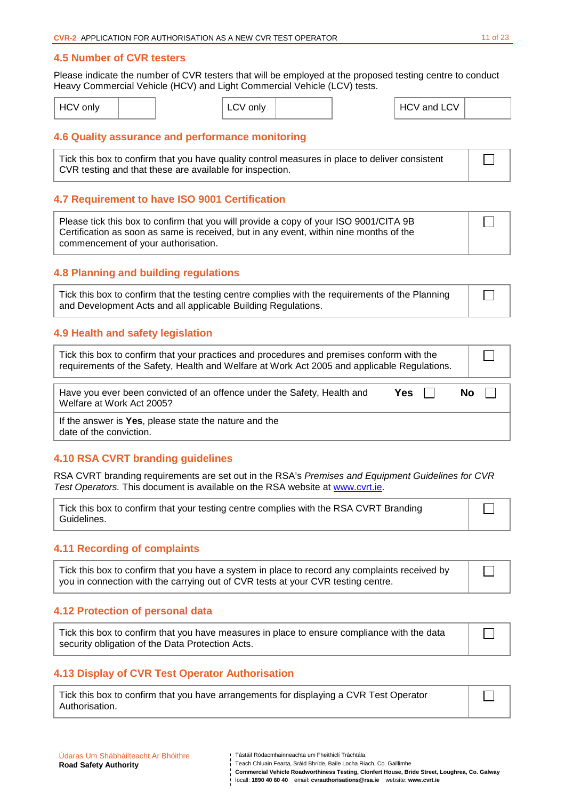#### **4.5 Number of CVR testers**

Please indicate the number of CVR testers that will be employed at the proposed testing centre to conduct Heavy Commercial Vehicle (HCV) and Light Commercial Vehicle (LCV) tests.

| <b>HCV</b> only |  | only<br>LUV |  | and LCV<br>$\mathsf{H}$ HC <sup>V</sup> |  |
|-----------------|--|-------------|--|-----------------------------------------|--|
|                 |  |             |  |                                         |  |

### **4.6 Quality assurance and performance monitoring**

Tick this box to confirm that you have quality control measures in place to deliver consistent CVR testing and that these are available for inspection.

#### **4.7 Requirement to have ISO 9001 Certification**

Please tick this box to confirm that you will provide a copy of your ISO 9001/CITA 9B Certification as soon as same is received, but in any event, within nine months of the commencement of your authorisation.

### **4.8 Planning and building regulations**

| Tick this box to confirm that the testing centre complies with the requirements of the Planning |  |
|-------------------------------------------------------------------------------------------------|--|
| and Development Acts and all applicable Building Regulations.                                   |  |

### **4.9 Health and safety legislation**

| Tick this box to confirm that your practices and procedures and premises conform with the<br>requirements of the Safety, Health and Welfare at Work Act 2005 and applicable Regulations. |  |           |  |
|------------------------------------------------------------------------------------------------------------------------------------------------------------------------------------------|--|-----------|--|
| Have you ever been convicted of an offence under the Safety, Health and<br>Yes $  $<br>Welfare at Work Act 2005?                                                                         |  | $No$ $  $ |  |

If the answer is **Yes**, please state the nature and the date of the conviction.

### **4.10 RSA CVRT branding guidelines**

RSA CVRT branding requirements are set out in the RSA's Premises and Equipment Guidelines for CVR Test Operators. This document is available on the RSA website at www.cvrt.ie.

Tick this box to confirm that your testing centre complies with the RSA CVRT Branding Guidelines.

#### **4.11 Recording of complaints**

| Tick this box to confirm that you have a system in place to record any complaints received by |
|-----------------------------------------------------------------------------------------------|
| you in connection with the carrying out of CVR tests at your CVR testing centre.              |

#### **4.12 Protection of personal data**

Tick this box to confirm that you have measures in place to ensure compliance with the data security obligation of the Data Protection Acts.

### **4.13 Display of CVR Test Operator Authorisation**

| Tick this box to confirm that you have arrangements for displaying a CVR Test Operator |  |
|----------------------------------------------------------------------------------------|--|
| Authorisation.                                                                         |  |

 $\Box$ 

П

 $\Box$ 

| i   Teach Chluain Fearta. Sráid Bhríde. Baile Locha Riach. Co. Gaillimhe     |
|------------------------------------------------------------------------------|
| Commercial Vehicle Roadworthiness Testing, Clonfert House, Bride Street, Lou |

Tástáil Ródacmhainneachta um Fheithiclí Tráchtála,

**Ighrea, Co. Galway** locall: **1890 40 60 40** email: **cvrauthorisations@rsa.ie** website: **www.cvrt.ie**

П

 $\Box$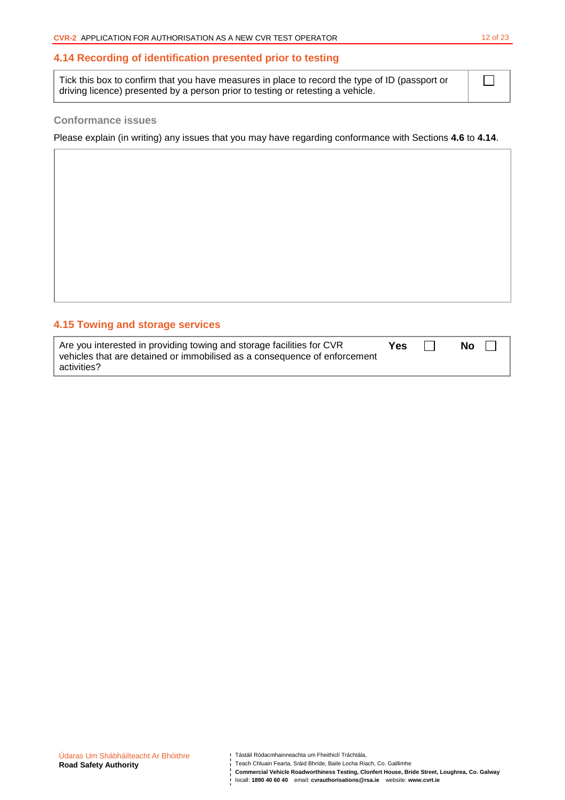### **4.14 Recording of identification presented prior to testing**

Tick this box to confirm that you have measures in place to record the type of ID (passport or driving licence) presented by a person prior to testing or retesting a vehicle.

#### **Conformance issues**

Please explain (in writing) any issues that you may have regarding conformance with Sections **4.6** to **4.14**.

## **4.15 Towing and storage services**

| Are you interested in providing towing and storage facilities for CVR     | Yes | <b>No</b> |  |
|---------------------------------------------------------------------------|-----|-----------|--|
| vehicles that are detained or immobilised as a consequence of enforcement |     |           |  |
| activities?                                                               |     |           |  |

Teach Chluain Fearta, Sráid Bhríde, Baile Locha Riach, Co. Gaillimhe

 $\Box$ 

**Commercial Vehicle Roadworthiness Testing, Clonfert House, Bride Street, Loughrea, Co. Galway**  locall: **1890 40 60 40** email: **cvrauthorisations@rsa.ie** website: **www.cvrt.ie**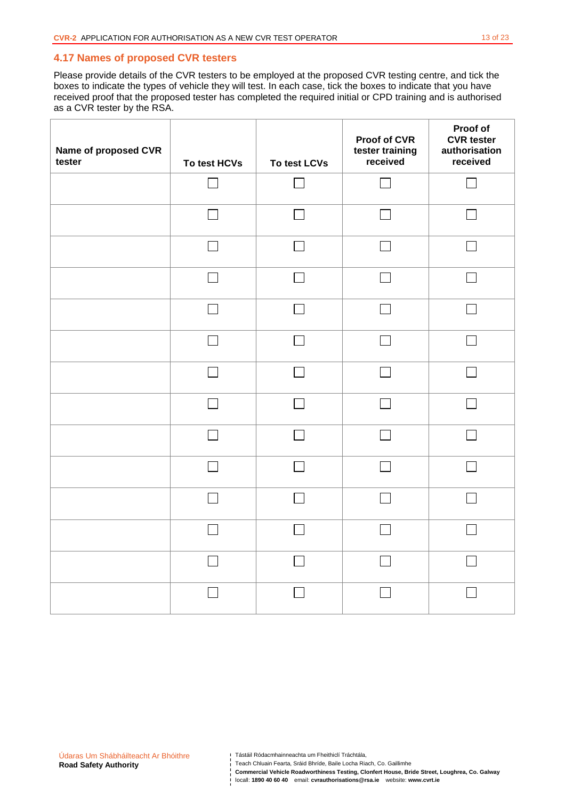### **4.17 Names of proposed CVR testers**

Please provide details of the CVR testers to be employed at the proposed CVR testing centre, and tick the boxes to indicate the types of vehicle they will test. In each case, tick the boxes to indicate that you have received proof that the proposed tester has completed the required initial or CPD training and is authorised as a CVR tester by the RSA.

| Name of proposed CVR<br>tester | To test HCVs | To test LCVs  | <b>Proof of CVR</b><br>tester training<br>received | Proof of<br><b>CVR</b> tester<br>authorisation<br>received |
|--------------------------------|--------------|---------------|----------------------------------------------------|------------------------------------------------------------|
|                                |              | $\mathcal{L}$ |                                                    |                                                            |
|                                |              | $\mathcal{L}$ |                                                    |                                                            |
|                                |              |               |                                                    |                                                            |
|                                |              |               |                                                    |                                                            |
|                                |              | $\sim$        |                                                    |                                                            |
|                                |              | $\mathcal{L}$ |                                                    |                                                            |
|                                |              | $\mathsf{L}$  |                                                    |                                                            |
|                                |              |               |                                                    |                                                            |
|                                |              |               |                                                    |                                                            |
|                                |              |               |                                                    |                                                            |
|                                |              |               |                                                    |                                                            |
|                                |              | $\mathcal{L}$ |                                                    |                                                            |
|                                |              |               |                                                    |                                                            |
|                                |              |               |                                                    |                                                            |

Tástáil Ródacmhainneachta um Fheithiclí Tráchtála,

- Teach Chluain Fearta, Sráid Bhríde, Baile Locha Riach, Co. Gaillimhe
- **Commercial Vehicle Roadworthiness Testing, Clonfert House, Bride Street, Loughrea, Co. Galway**

locall: **1890 40 60 40** email: **cvrauthorisations@rsa.ie** website: **www.cvrt.ie**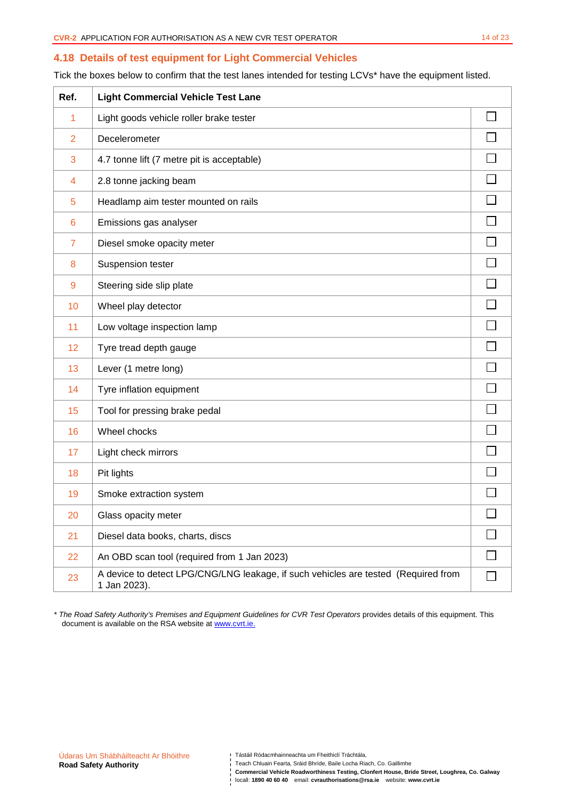### **4.18 Details of test equipment for Light Commercial Vehicles**

Tick the boxes below to confirm that the test lanes intended for testing LCVs\* have the equipment listed.

| Ref.            | <b>Light Commercial Vehicle Test Lane</b>                                                          |        |
|-----------------|----------------------------------------------------------------------------------------------------|--------|
| 1               | Light goods vehicle roller brake tester                                                            |        |
| $\overline{2}$  | Decelerometer                                                                                      |        |
| 3               | 4.7 tonne lift (7 metre pit is acceptable)                                                         |        |
| 4               | 2.8 tonne jacking beam                                                                             |        |
| 5               | Headlamp aim tester mounted on rails                                                               |        |
| $6\phantom{1}6$ | Emissions gas analyser                                                                             |        |
| $\overline{7}$  | Diesel smoke opacity meter                                                                         |        |
| 8               | Suspension tester                                                                                  |        |
| 9               | Steering side slip plate                                                                           |        |
| 10              | Wheel play detector                                                                                |        |
| 11              | Low voltage inspection lamp                                                                        |        |
| 12              | Tyre tread depth gauge                                                                             |        |
| 13              | Lever (1 metre long)                                                                               |        |
| 14              | Tyre inflation equipment                                                                           |        |
| 15              | Tool for pressing brake pedal                                                                      |        |
| 16              | Wheel chocks                                                                                       |        |
| 17              | Light check mirrors                                                                                |        |
| 18              | Pit lights                                                                                         |        |
| 19              | Smoke extraction system                                                                            |        |
| 20              | Glass opacity meter                                                                                | $\Box$ |
| 21              | Diesel data books, charts, discs                                                                   |        |
| 22              | An OBD scan tool (required from 1 Jan 2023)                                                        |        |
| 23              | A device to detect LPG/CNG/LNG leakage, if such vehicles are tested (Required from<br>1 Jan 2023). |        |

\* The Road Safety Authority's Premises and Equipment Guidelines for CVR Test Operators provides details of this equipment. This document is available on the RSA website at www.cvrt.ie.

Tástáil Ródacmhainneachta um Fheithiclí Tráchtála,

**Commercial Vehicle Roadworthiness Testing, Clonfert House, Bride Street, Loughrea, Co. Galway**  locall: **1890 40 60 40** email: **cvrauthorisations@rsa.ie** website: **www.cvrt.ie**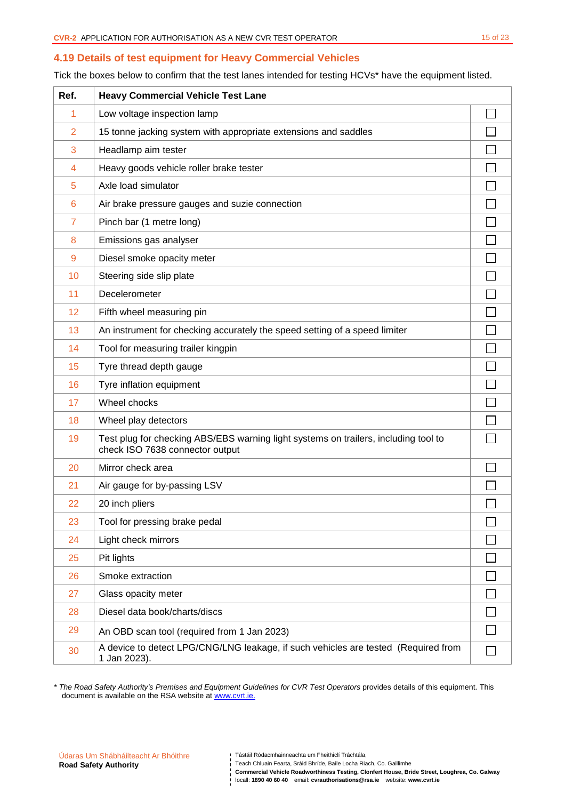#### **4.19 Details of test equipment for Heavy Commercial Vehicles**

Tick the boxes below to confirm that the test lanes intended for testing HCVs\* have the equipment listed.

| Ref.           | <b>Heavy Commercial Vehicle Test Lane</b>                                                                              |  |
|----------------|------------------------------------------------------------------------------------------------------------------------|--|
| 1              | Low voltage inspection lamp                                                                                            |  |
| $\overline{2}$ | 15 tonne jacking system with appropriate extensions and saddles                                                        |  |
| 3              | Headlamp aim tester                                                                                                    |  |
| 4              | Heavy goods vehicle roller brake tester                                                                                |  |
| 5              | Axle load simulator                                                                                                    |  |
| 6              | Air brake pressure gauges and suzie connection                                                                         |  |
| $\overline{7}$ | Pinch bar (1 metre long)                                                                                               |  |
| 8              | Emissions gas analyser                                                                                                 |  |
| 9              | Diesel smoke opacity meter                                                                                             |  |
| 10             | Steering side slip plate                                                                                               |  |
| 11             | Decelerometer                                                                                                          |  |
| 12             | Fifth wheel measuring pin                                                                                              |  |
| 13             | An instrument for checking accurately the speed setting of a speed limiter                                             |  |
| 14             | Tool for measuring trailer kingpin                                                                                     |  |
| 15             | Tyre thread depth gauge                                                                                                |  |
| 16             | Tyre inflation equipment                                                                                               |  |
| 17             | Wheel chocks                                                                                                           |  |
| 18             | Wheel play detectors                                                                                                   |  |
| 19             | Test plug for checking ABS/EBS warning light systems on trailers, including tool to<br>check ISO 7638 connector output |  |
| 20             | Mirror check area                                                                                                      |  |
| 21             | Air gauge for by-passing LSV                                                                                           |  |
| 22             | 20 inch pliers                                                                                                         |  |
| 23             | Tool for pressing brake pedal                                                                                          |  |
| 24             | Light check mirrors                                                                                                    |  |
| 25             | Pit lights                                                                                                             |  |
| 26             | Smoke extraction                                                                                                       |  |
| 27             | Glass opacity meter                                                                                                    |  |
| 28             | Diesel data book/charts/discs                                                                                          |  |
| 29             | An OBD scan tool (required from 1 Jan 2023)                                                                            |  |
| 30             | A device to detect LPG/CNG/LNG leakage, if such vehicles are tested (Required from<br>1 Jan 2023).                     |  |

\* The Road Safety Authority's Premises and Equipment Guidelines for CVR Test Operators provides details of this equipment. This document is available on the RSA website at www.cvrt.ie.

**Commercial Vehicle Roadworthiness Testing, Clonfert House, Bride Street, Loughrea, Co. Galway**  locall: **1890 40 60 40** email: **cvrauthorisations@rsa.ie** website: **www.cvrt.ie**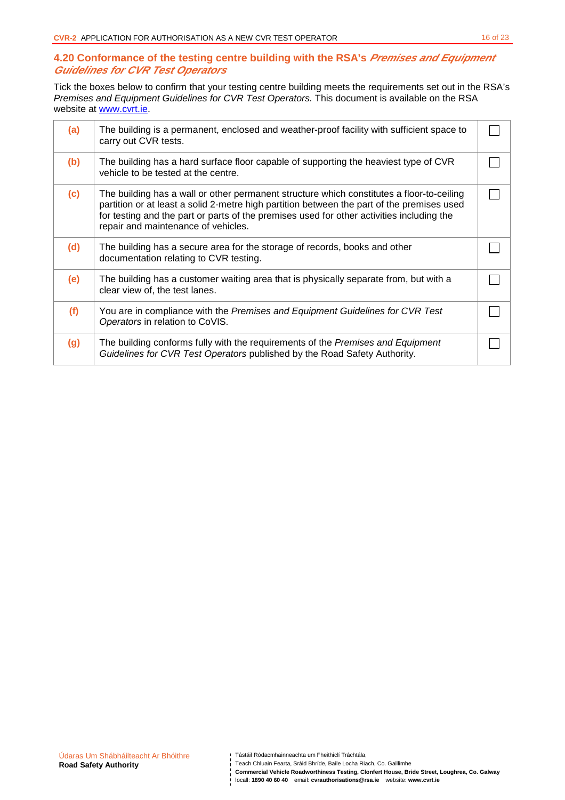## **4.20 Conformance of the testing centre building with the RSA's Premises and Equipment Guidelines for CVR Test Operators**

Tick the boxes below to confirm that your testing centre building meets the requirements set out in the RSA's Premises and Equipment Guidelines for CVR Test Operators. This document is available on the RSA website at www.cvrt.ie.

| (a) | The building is a permanent, enclosed and weather-proof facility with sufficient space to<br>carry out CVR tests.                                                                                                                                                                                                           |  |
|-----|-----------------------------------------------------------------------------------------------------------------------------------------------------------------------------------------------------------------------------------------------------------------------------------------------------------------------------|--|
| (b) | The building has a hard surface floor capable of supporting the heaviest type of CVR<br>vehicle to be tested at the centre.                                                                                                                                                                                                 |  |
| (c) | The building has a wall or other permanent structure which constitutes a floor-to-ceiling<br>partition or at least a solid 2-metre high partition between the part of the premises used<br>for testing and the part or parts of the premises used for other activities including the<br>repair and maintenance of vehicles. |  |
| (d) | The building has a secure area for the storage of records, books and other<br>documentation relating to CVR testing.                                                                                                                                                                                                        |  |
| (e) | The building has a customer waiting area that is physically separate from, but with a<br>clear view of, the test lanes.                                                                                                                                                                                                     |  |
| (f) | You are in compliance with the Premises and Equipment Guidelines for CVR Test<br>Operators in relation to CoVIS.                                                                                                                                                                                                            |  |
| (g) | The building conforms fully with the requirements of the Premises and Equipment<br>Guidelines for CVR Test Operators published by the Road Safety Authority.                                                                                                                                                                |  |

- Teach Chluain Fearta, Sráid Bhríde, Baile Locha Riach, Co. Gaillimhe
- **Commercial Vehicle Roadworthiness Testing, Clonfert House, Bride Street, Loughrea, Co. Galway**  locall: **1890 40 60 40** email: **cvrauthorisations@rsa.ie** website: **www.cvrt.ie**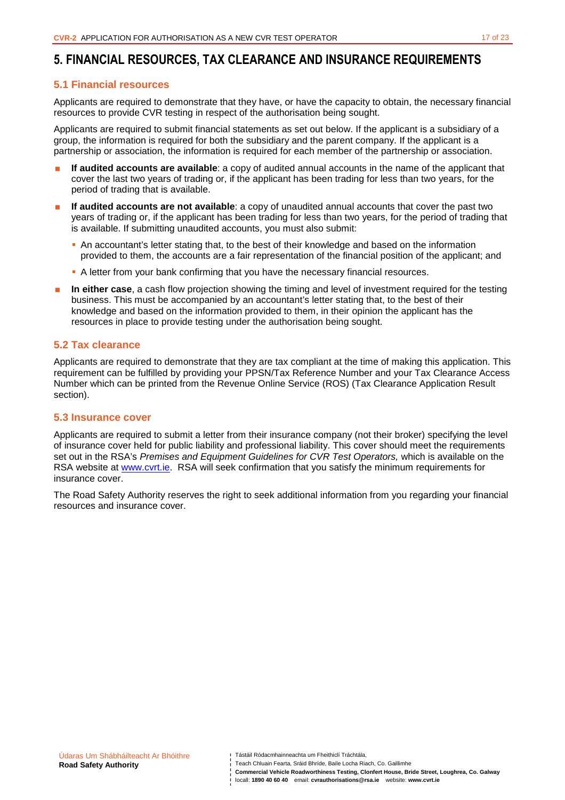# **5. FINANCIAL RESOURCES, TAX CLEARANCE AND INSURANCE REQUIREMENTS**

### **5.1 Financial resources**

Applicants are required to demonstrate that they have, or have the capacity to obtain, the necessary financial resources to provide CVR testing in respect of the authorisation being sought.

Applicants are required to submit financial statements as set out below. If the applicant is a subsidiary of a group, the information is required for both the subsidiary and the parent company. If the applicant is a partnership or association, the information is required for each member of the partnership or association.

- **If audited accounts are available**: a copy of audited annual accounts in the name of the applicant that cover the last two years of trading or, if the applicant has been trading for less than two years, for the period of trading that is available.
- **If audited accounts are not available**: a copy of unaudited annual accounts that cover the past two years of trading or, if the applicant has been trading for less than two years, for the period of trading that is available. If submitting unaudited accounts, you must also submit:
	- An accountant's letter stating that, to the best of their knowledge and based on the information provided to them, the accounts are a fair representation of the financial position of the applicant; and
	- A letter from your bank confirming that you have the necessary financial resources.
- **In either case**, a cash flow projection showing the timing and level of investment required for the testing business. This must be accompanied by an accountant's letter stating that, to the best of their knowledge and based on the information provided to them, in their opinion the applicant has the resources in place to provide testing under the authorisation being sought.

### **5.2 Tax clearance**

Applicants are required to demonstrate that they are tax compliant at the time of making this application. This requirement can be fulfilled by providing your PPSN/Tax Reference Number and your Tax Clearance Access Number which can be printed from the Revenue Online Service (ROS) (Tax Clearance Application Result section).

#### **5.3 Insurance cover**

Applicants are required to submit a letter from their insurance company (not their broker) specifying the level of insurance cover held for public liability and professional liability. This cover should meet the requirements set out in the RSA's Premises and Equipment Guidelines for CVR Test Operators, which is available on the RSA website at www.cvrt.ie. RSA will seek confirmation that you satisfy the minimum requirements for insurance cover.

The Road Safety Authority reserves the right to seek additional information from you regarding your financial resources and insurance cover.

**Commercial Vehicle Roadworthiness Testing, Clonfert House, Bride Street, Loughrea, Co. Galway**  locall: **1890 40 60 40** email: **cvrauthorisations@rsa.ie** website: **www.cvrt.ie**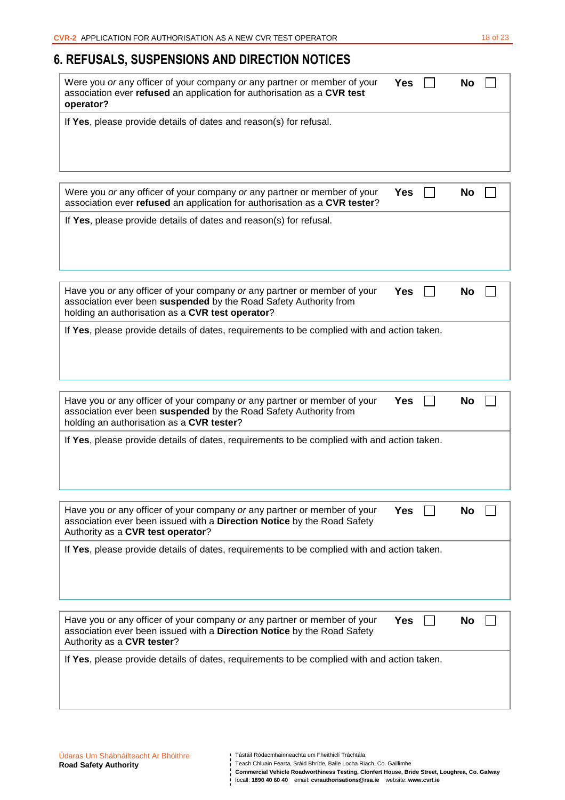# **6. REFUSALS, SUSPENSIONS AND DIRECTION NOTICES**

| Were you or any officer of your company or any partner or member of your<br>association ever refused an application for authorisation as a CVR test<br>operator?                                  | <b>Yes</b> | No        |  |
|---------------------------------------------------------------------------------------------------------------------------------------------------------------------------------------------------|------------|-----------|--|
| If Yes, please provide details of dates and reason(s) for refusal.                                                                                                                                |            |           |  |
| Were you or any officer of your company or any partner or member of your<br>association ever refused an application for authorisation as a CVR tester?                                            | <b>Yes</b> | <b>No</b> |  |
| If Yes, please provide details of dates and reason(s) for refusal.                                                                                                                                |            |           |  |
| Have you or any officer of your company or any partner or member of your<br>association ever been suspended by the Road Safety Authority from<br>holding an authorisation as a CVR test operator? | Yes        | No        |  |
| If Yes, please provide details of dates, requirements to be complied with and action taken.                                                                                                       |            |           |  |
| Have you or any officer of your company or any partner or member of your<br>association ever been suspended by the Road Safety Authority from<br>holding an authorisation as a CVR tester?        | <b>Yes</b> | No        |  |
| If Yes, please provide details of dates, requirements to be complied with and action taken.                                                                                                       |            |           |  |
| Have you or any officer of your company or any partner or member of your<br>association ever been issued with a Direction Notice by the Road Safety<br>Authority as a CVR test operator?          | <b>Yes</b> | <b>No</b> |  |
| If Yes, please provide details of dates, requirements to be complied with and action taken.                                                                                                       |            |           |  |
| Have you or any officer of your company or any partner or member of your<br>association ever been issued with a Direction Notice by the Road Safety<br>Authority as a CVR tester?                 | Yes        | <b>No</b> |  |
| If Yes, please provide details of dates, requirements to be complied with and action taken.                                                                                                       |            |           |  |

- Teach Chluain Fearta, Sráid Bhríde, Baile Locha Riach, Co. Gaillimhe
- **Commercial Vehicle Roadworthiness Testing, Clonfert House, Bride Street, Loughrea, Co. Galway**  locall: **1890 40 60 40** email: **cvrauthorisations@rsa.ie** website: **www.cvrt.ie**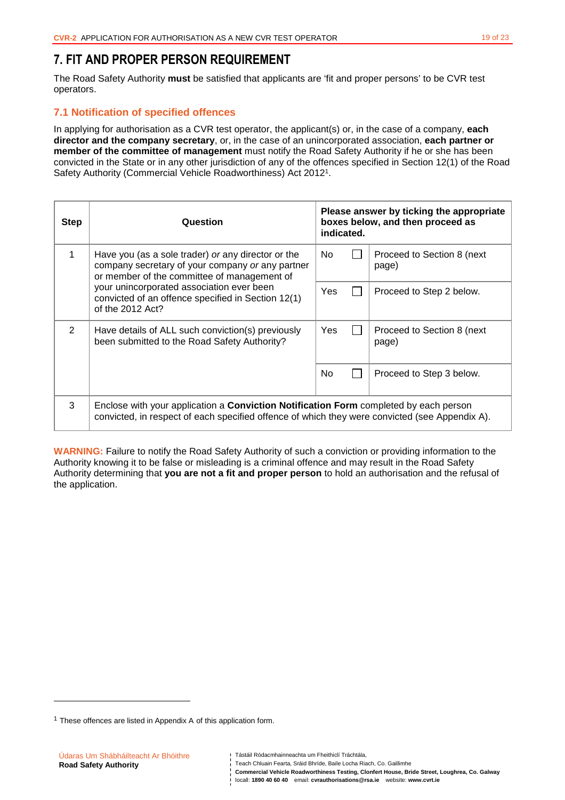# **7. FIT AND PROPER PERSON REQUIREMENT**

The Road Safety Authority **must** be satisfied that applicants are 'fit and proper persons' to be CVR test operators.

# **7.1 Notification of specified offences**

In applying for authorisation as a CVR test operator, the applicant(s) or, in the case of a company, **each director and the company secretary**, or, in the case of an unincorporated association, **each partner or member of the committee of management** must notify the Road Safety Authority if he or she has been convicted in the State or in any other jurisdiction of any of the offences specified in Section 12(1) of the Road Safety Authority (Commercial Vehicle Roadworthiness) Act 2012<sup>1</sup>.

| <b>Step</b>                                                                                                         | Question                                                                                                                                                                                       | Please answer by ticking the appropriate<br>boxes below, and then proceed as<br>indicated. |  |                                      |
|---------------------------------------------------------------------------------------------------------------------|------------------------------------------------------------------------------------------------------------------------------------------------------------------------------------------------|--------------------------------------------------------------------------------------------|--|--------------------------------------|
| $\mathbf{1}$                                                                                                        | Have you (as a sole trader) or any director or the<br>company secretary of your company or any partner<br>or member of the committee of management of                                          | No.                                                                                        |  | Proceed to Section 8 (next)<br>page) |
| your unincorporated association ever been<br>convicted of an offence specified in Section 12(1)<br>of the 2012 Act? |                                                                                                                                                                                                | Yes                                                                                        |  | Proceed to Step 2 below.             |
| 2                                                                                                                   | Have details of ALL such conviction(s) previously<br>been submitted to the Road Safety Authority?                                                                                              | Yes                                                                                        |  | Proceed to Section 8 (next)<br>page) |
|                                                                                                                     |                                                                                                                                                                                                | No                                                                                         |  | Proceed to Step 3 below.             |
| 3                                                                                                                   | Enclose with your application a <b>Conviction Notification Form</b> completed by each person<br>convicted, in respect of each specified offence of which they were convicted (see Appendix A). |                                                                                            |  |                                      |

**WARNING:** Failure to notify the Road Safety Authority of such a conviction or providing information to the Authority knowing it to be false or misleading is a criminal offence and may result in the Road Safety Authority determining that **you are not a fit and proper person** to hold an authorisation and the refusal of the application.

l

 $1$  These offences are listed in Appendix A of this application form.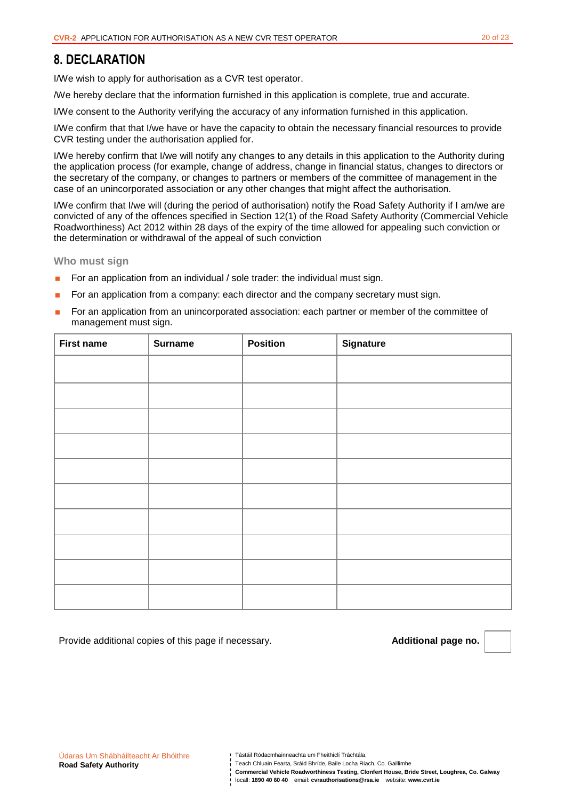# **8. DECLARATION**

I/We wish to apply for authorisation as a CVR test operator.

/We hereby declare that the information furnished in this application is complete, true and accurate.

I/We consent to the Authority verifying the accuracy of any information furnished in this application.

I/We confirm that that I/we have or have the capacity to obtain the necessary financial resources to provide CVR testing under the authorisation applied for.

I/We hereby confirm that I/we will notify any changes to any details in this application to the Authority during the application process (for example, change of address, change in financial status, changes to directors or the secretary of the company, or changes to partners or members of the committee of management in the case of an unincorporated association or any other changes that might affect the authorisation.

I/We confirm that I/we will (during the period of authorisation) notify the Road Safety Authority if I am/we are convicted of any of the offences specified in Section 12(1) of the Road Safety Authority (Commercial Vehicle Roadworthiness) Act 2012 within 28 days of the expiry of the time allowed for appealing such conviction or the determination or withdrawal of the appeal of such conviction

**Who must sign** 

- For an application from an individual / sole trader: the individual must sign.
- For an application from a company: each director and the company secretary must sign.
- For an application from an unincorporated association: each partner or member of the committee of management must sign.

| <b>First name</b> | <b>Surname</b> | <b>Position</b> | <b>Signature</b> |
|-------------------|----------------|-----------------|------------------|
|                   |                |                 |                  |
|                   |                |                 |                  |
|                   |                |                 |                  |
|                   |                |                 |                  |
|                   |                |                 |                  |
|                   |                |                 |                  |
|                   |                |                 |                  |
|                   |                |                 |                  |
|                   |                |                 |                  |
|                   |                |                 |                  |

Provide additional copies of this page if necessary. **Additional page no. Additional page no.** 

Tástáil Ródacmhainneachta um Fheithiclí Tráchtála,

**Commercial Vehicle Roadworthiness Testing, Clonfert House, Bride Street, Loughrea, Co. Galway** 

locall: **1890 40 60 40** email: **cvrauthorisations@rsa.ie** website: **www.cvrt.ie**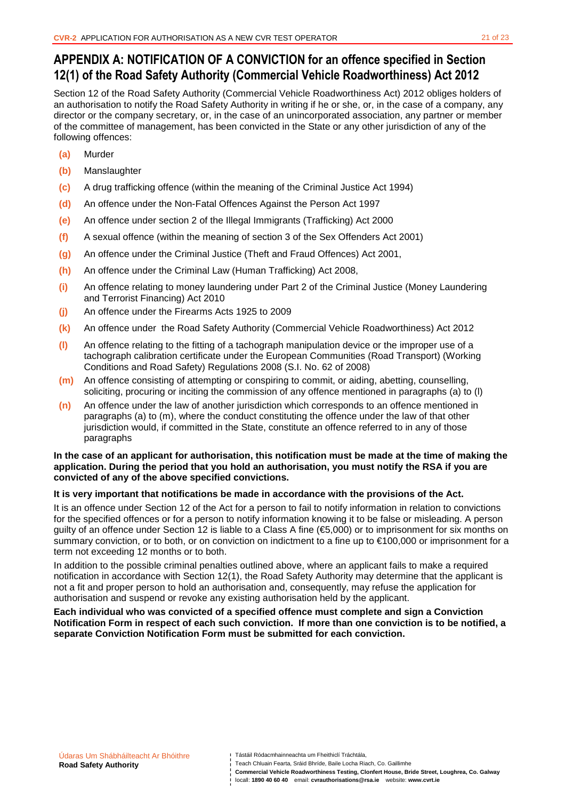# **APPENDIX A: NOTIFICATION OF A CONVICTION for an offence specified in Section 12(1) of the Road Safety Authority (Commercial Vehicle Roadworthiness) Act 2012**

Section 12 of the Road Safety Authority (Commercial Vehicle Roadworthiness Act) 2012 obliges holders of an authorisation to notify the Road Safety Authority in writing if he or she, or, in the case of a company, any director or the company secretary, or, in the case of an unincorporated association, any partner or member of the committee of management, has been convicted in the State or any other jurisdiction of any of the following offences:

- **(a)** Murder
- **(b)** Manslaughter
- **(c)** A drug trafficking offence (within the meaning of the Criminal Justice Act 1994)
- **(d)** An offence under the Non-Fatal Offences Against the Person Act 1997
- **(e)** An offence under section 2 of the Illegal Immigrants (Trafficking) Act 2000
- **(f)** A sexual offence (within the meaning of section 3 of the Sex Offenders Act 2001)
- **(g)** An offence under the Criminal Justice (Theft and Fraud Offences) Act 2001,
- **(h)** An offence under the Criminal Law (Human Trafficking) Act 2008,
- **(i)** An offence relating to money laundering under Part 2 of the Criminal Justice (Money Laundering and Terrorist Financing) Act 2010
- **(j)** An offence under the Firearms Acts 1925 to 2009
- **(k)** An offence under the Road Safety Authority (Commercial Vehicle Roadworthiness) Act 2012
- **(l)** An offence relating to the fitting of a tachograph manipulation device or the improper use of a tachograph calibration certificate under the European Communities (Road Transport) (Working Conditions and Road Safety) Regulations 2008 (S.I. No. 62 of 2008)
- **(m)** An offence consisting of attempting or conspiring to commit, or aiding, abetting, counselling, soliciting, procuring or inciting the commission of any offence mentioned in paragraphs (a) to (l)
- **(n)** An offence under the law of another jurisdiction which corresponds to an offence mentioned in paragraphs (a) to (m), where the conduct constituting the offence under the law of that other jurisdiction would, if committed in the State, constitute an offence referred to in any of those paragraphs

#### **In the case of an applicant for authorisation, this notification must be made at the time of making the application. During the period that you hold an authorisation, you must notify the RSA if you are convicted of any of the above specified convictions.**

#### **It is very important that notifications be made in accordance with the provisions of the Act.**

It is an offence under Section 12 of the Act for a person to fail to notify information in relation to convictions for the specified offences or for a person to notify information knowing it to be false or misleading. A person guilty of an offence under Section 12 is liable to a Class A fine (€5,000) or to imprisonment for six months on summary conviction, or to both, or on conviction on indictment to a fine up to €100,000 or imprisonment for a term not exceeding 12 months or to both.

In addition to the possible criminal penalties outlined above, where an applicant fails to make a required notification in accordance with Section 12(1), the Road Safety Authority may determine that the applicant is not a fit and proper person to hold an authorisation and, consequently, may refuse the application for authorisation and suspend or revoke any existing authorisation held by the applicant.

**Each individual who was convicted of a specified offence must complete and sign a Conviction Notification Form in respect of each such conviction. If more than one conviction is to be notified, a separate Conviction Notification Form must be submitted for each conviction.** 

Tástáil Ródacmhainneachta um Fheithiclí Tráchtála,

**Commercial Vehicle Roadworthiness Testing, Clonfert House, Bride Street, Loughrea, Co. Galway**  locall: **1890 40 60 40** email: **cvrauthorisations@rsa.ie** website: **www.cvrt.ie**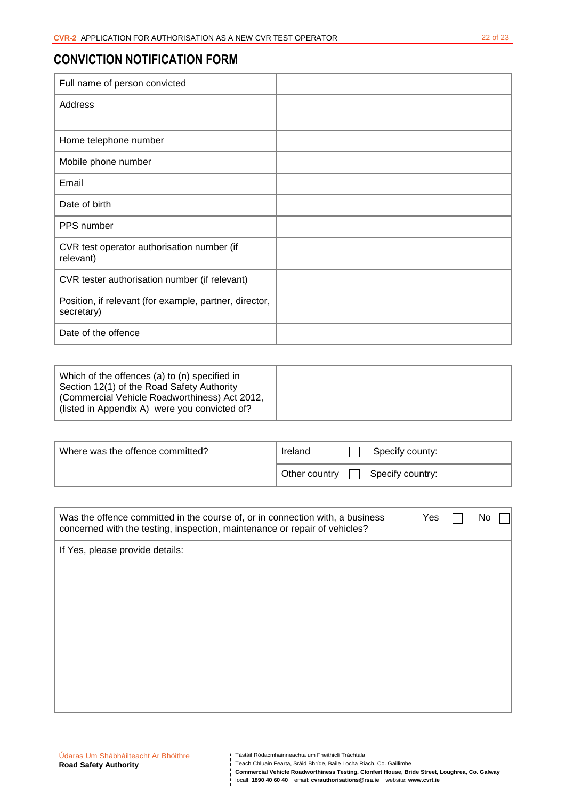# **CONVICTION NOTIFICATION FORM**

| Full name of person convicted                                        |  |
|----------------------------------------------------------------------|--|
| Address                                                              |  |
|                                                                      |  |
| Home telephone number                                                |  |
| Mobile phone number                                                  |  |
| Email                                                                |  |
| Date of birth                                                        |  |
| PPS number                                                           |  |
| CVR test operator authorisation number (if<br>relevant)              |  |
| CVR tester authorisation number (if relevant)                        |  |
| Position, if relevant (for example, partner, director,<br>secretary) |  |
| Date of the offence                                                  |  |

| Which of the offences (a) to (n) specified in<br>Section 12(1) of the Road Safety Authority    |  |
|------------------------------------------------------------------------------------------------|--|
| (Commercial Vehicle Roadworthiness) Act 2012,<br>(listed in Appendix A) were you convicted of? |  |

| Where was the offence committed? | Ireland       | Specify county:  |
|----------------------------------|---------------|------------------|
|                                  | Other country | Specify country: |

| Was the offence committed in the course of, or in connection with, a business<br>concerned with the testing, inspection, maintenance or repair of vehicles? | Yes | No |
|-------------------------------------------------------------------------------------------------------------------------------------------------------------|-----|----|
| If Yes, please provide details:                                                                                                                             |     |    |
|                                                                                                                                                             |     |    |
|                                                                                                                                                             |     |    |
|                                                                                                                                                             |     |    |
|                                                                                                                                                             |     |    |
|                                                                                                                                                             |     |    |
|                                                                                                                                                             |     |    |

- Teach Chluain Fearta, Sráid Bhríde, Baile Locha Riach, Co. Gaillimhe
- **Commercial Vehicle Roadworthiness Testing, Clonfert House, Bride Street, Loughrea, Co. Galway**  locall: **1890 40 60 40** email: **cvrauthorisations@rsa.ie** website: **www.cvrt.ie**